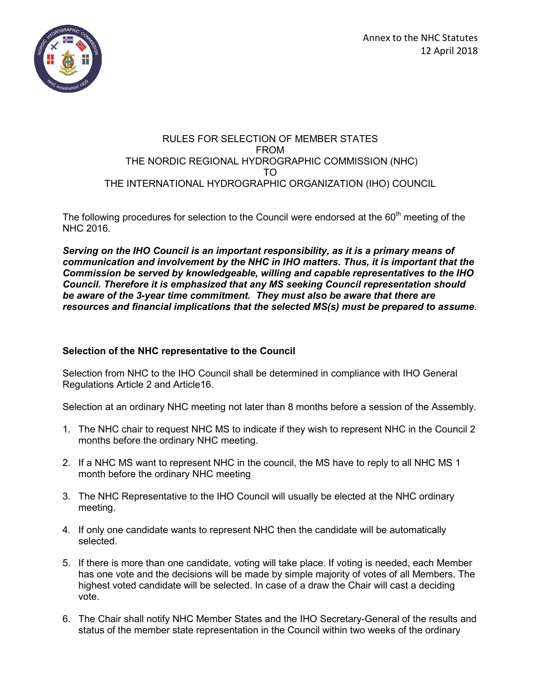

## RULES FOR SELECTION OF MEMBER STATES FROM THE NORDIC REGIONAL HYDROGRAPHIC COMMISSION (NHC) TO THE INTERNATIONAL HYDROGRAPHIC ORGANIZATION (IHO) COUNCIL

The following procedures for selection to the Council were endorsed at the  $60<sup>th</sup>$  meeting of the NHC 2016.

*Serving on the IHO Council is an important responsibility, as it is a primary means of communication and involvement by the NHC in IHO matters. Thus, it is important that the Commission be served by knowledgeable, willing and capable representatives to the IHO Council. Therefore it is emphasized that any MS seeking Council representation should be aware of the 3-year time commitment. They must also be aware that there are resources and financial implications that the selected MS(s) must be prepared to assume*.

## **Selection of the NHC representative to the Council**

Selection from NHC to the IHO Council shall be determined in compliance with IHO General Regulations Article 2 and Article16.

Selection at an ordinary NHC meeting not later than 8 months before a session of the Assembly.

- 1. The NHC chair to request NHC MS to indicate if they wish to represent NHC in the Council 2 months before the ordinary NHC meeting.
- 2. If a NHC MS want to represent NHC in the council, the MS have to reply to all NHC MS 1 month before the ordinary NHC meeting
- 3. The NHC Representative to the IHO Council will usually be elected at the NHC ordinary meeting.
- 4. If only one candidate wants to represent NHC then the candidate will be automatically selected.
- 5. If there is more than one candidate, voting will take place. If voting is needed, each Member has one vote and the decisions will be made by simple majority of votes of all Members. The highest voted candidate will be selected. In case of a draw the Chair will cast a deciding vote.
- 6. The Chair shall notify NHC Member States and the IHO Secretary-General of the results and status of the member state representation in the Council within two weeks of the ordinary